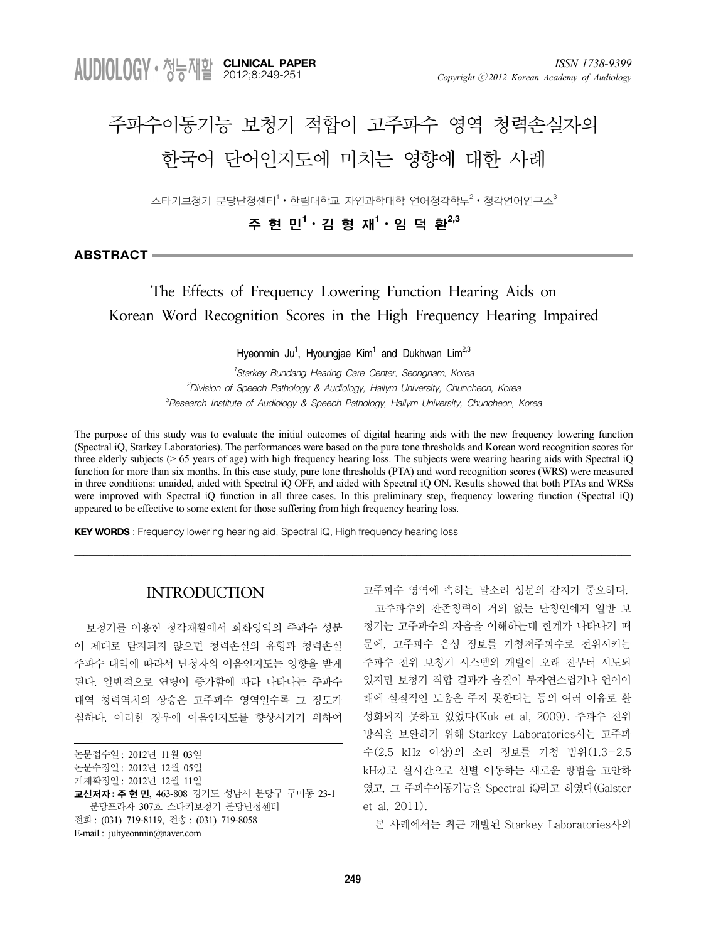**CLINICAL PAPER** 2012;8:249-251

# 주파수이동기능 보청기 적합이 고주파수 영역 청력손실자의 한국어 단어인지도에 미치는 영향에 대한 사례

스타키보청기 분당난청센터 $^1\cdot$  한림대학교 자연과학대학 언어청각학부 $^2\cdot$  청각언어연구소 $^3$ 

주 현 민**<sup>1</sup>** ᆞ김 형 재**<sup>1</sup>** ᆞ임 덕 환**2,3**

**ABSTRACT**

# The Effects of Frequency Lowering Function Hearing Aids on Korean Word Recognition Scores in the High Frequency Hearing Impaired

Hyeonmin Ju<sup>1</sup>, Hyoungjae Kim<sup>1</sup> and Dukhwan Lim<sup>2,3</sup>

*1 Starkey Bundang Hearing Care Center, Seongnam, Korea 2 Division of Speech Pathology & Audiology, Hallym University, Chuncheon, Korea 3 Research Institute of Audiology & Speech Pathology, Hallym University, Chuncheon, Korea*

The purpose of this study was to evaluate the initial outcomes of digital hearing aids with the new frequency lowering function (Spectral iQ, Starkey Laboratories). The performances were based on the pure tone thresholds and Korean word recognition scores for three elderly subjects ( $> 65$  years of age) with high frequency hearing loss. The subjects were wearing hearing aids with Spectral iQ function for more than six months. In this case study, pure tone thresholds (PTA) and word recognition scores (WRS) were measured in three conditions: unaided, aided with Spectral iQ OFF, and aided with Spectral iQ ON. Results showed that both PTAs and WRSs were improved with Spectral iQ function in all three cases. In this preliminary step, frequency lowering function (Spectral iQ) appeared to be effective to some extent for those suffering from high frequency hearing loss.

\_\_\_\_\_\_\_\_\_\_\_\_\_\_\_\_\_\_\_\_\_\_\_\_\_\_\_\_\_\_\_\_\_\_\_\_\_\_\_\_\_\_\_\_\_\_\_\_\_\_\_\_\_\_\_\_\_\_\_\_\_\_\_\_\_\_\_\_\_\_\_\_\_\_\_\_\_\_\_\_\_\_\_\_\_\_\_\_\_\_\_\_\_\_\_\_\_\_\_\_\_\_\_\_\_\_\_\_\_\_\_\_\_\_

**KEY WORDS** : Frequency lowering hearing aid, Spectral iQ, High frequency hearing loss

# **INTRODUCTION**

보청기를 이용한 청각재활에서 회화영역의 주파수 성분 이 제대로 탐지되지 않으면 청력손실의 유형과 청력손실 주파수 대역에 따라서 난청자의 어음인지도는 영향을 받게 된다. 일반적으로 연령이 증가함에 따라 나타나는 주파수 대역 청력역치의 상승은 고주파수 영역일수록 그 정도가 심하다. 이러한 경우에 어음인지도를 향상시키기 위하여

| 논문접수일: 2012년 11월 03일                               |
|----------------------------------------------------|
| 논문수정일: 2012년 12월 05일                               |
| 게재확정일: 2012년 12월 11일                               |
| <b>교신저자 : 주 현 민</b> . 463-808 경기도 성남시 분당구 구미동 23-1 |
| 분당프라자 307호 스타키보청기 분당난청센터                           |
| 전화: (031) 719-8119, 전송: (031) 719-8058             |
| E-mail: juhyeonmin@naver.com                       |

고주파수 영역에 속하는 말소리 성분의 감지가 중요하다. 고주파수의 잔존청력이 거의 없는 난청인에게 일반 보 청기는 고주파수의 자음을 이해하는데 한계가 나타나기 때 문에, 고주파수 음성 정보를 가청저주파수로 전위시키는 주파수 전위 보청기 시스템의 개발이 오래 전부터 시도되 었지만 보청기 적합 결과가 음질이 부자연스럽거나 언어이 해에 실질적인 도움은 주지 못한다는 등의 여러 이유로 활 성화되지 못하고 있었다(Kuk et al, 2009). 주파수 전위 방식을 보완하기 위해 Starkey Laboratories사는 고주파 수(2.5 kHz 이상)의 소리 정보를 가청 범위(1.3-2.5 kHz)로 실시간으로 선별 이동하는 새로운 방법을 고안하 였고, 그 주파수이동기능을 Spectral iQ라고 하였다(Galster et al, 2011).

본 사례에서는 최근 개발된 Starkey Laboratories사의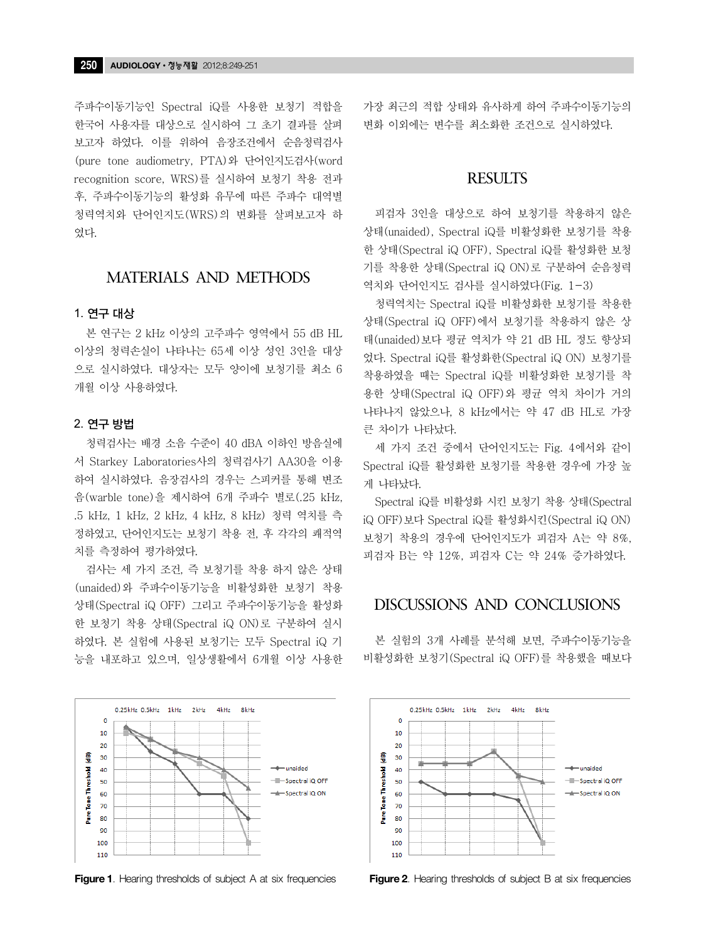주파수이동기능인 Spectral iQ를 사용한 보청기 적합을 한국어 사용자를 대상으로 실시하여 그 초기 결과를 살펴 보고자 하였다. 이를 위하여 음장조건에서 순음청력검사 (pure tone audiometry, PTA)와 단어인지도검사(word recognition score, WRS)를 실시하여 보청기 착용 전과 후, 주파수이동기능의 활성화 유무에 따른 주파수 대역별 청력역치와 단어인지도(WRS)의 변화를 살펴보고자 하 였다.

# MATERIALS AND METHODS

#### 1. 연구 대상

본 연구는 2 kHz 이상의 고주파수 영역에서 55 dB HL 이상의 청력손실이 나타나는 65세 이상 성인 3인을 대상 으로 실시하였다. 대상자는 모두 양이에 보청기를 최소 6 개월 이상 사용하였다.

#### 2. 연구 방법

청력검사는 배경 소음 수준이 40 dBA 이하인 방음실에 서 Starkey Laboratories사의 청력검사기 AA30을 이용 하여 실시하였다. 음장검사의 경우는 스피커를 통해 변조 음(warble tone)을 제시하여 6개 주파수 별로(.25 kHz, .5 kHz, 1 kHz, 2 kHz, 4 kHz, 8 kHz) 청력 역치를 측 정하였고, 단어인지도는 보청기 착용 전, 후 각각의 쾌적역 치를 측정하여 평가하였다.

검사는 세 가지 조건, 즉 보청기를 착용 하지 않은 상태 (unaided)와 주파수이동기능을 비활성화한 보청기 착용 상태(Spectral iQ OFF) 그리고 주파수이동기능을 활성화 한 보청기 착용 상태(Spectral iQ ON)로 구분하여 실시 하였다. 본 실험에 사용된 보청기는 모두 Spectral iQ 기 능을 내포하고 있으며, 일상생활에서 6개월 이상 사용한



**Figure 1**. Hearing thresholds of subject A at six frequencies **Figure 2**. Hearing thresholds of subject B at six frequencies

가장 최근의 적합 상태와 유사하게 하여 주파수이동기능의 변화 이외에는 변수를 최소화한 조건으로 실시하였다.

## **RESULTS**

피검자 3인을 대상으로 하여 보청기를 착용하지 않은 상태(unaided), Spectral iQ를 비활성화한 보청기를 착용 한 상태(Spectral iQ OFF), Spectral iQ를 활성화한 보청 기를 착용한 상태(Spectral iQ ON)로 구분하여 순음청력 역치와 단어인지도 검사를 실시하였다(Fig. 1-3)

청력역치는 Spectral iQ를 비활성화한 보청기를 착용한 상태(Spectral iQ OFF)에서 보청기를 착용하지 않은 상 태(unaided)보다 평균 역치가 약 21 dB HL 정도 향상되 었다. Spectral iQ를 활성화한(Spectral iQ ON) 보청기를 착용하였을 때는 Spectral iQ를 비활성화한 보청기를 착 용한 상태(Spectral iQ OFF)와 평균 역치 차이가 거의 나타나지 않았으나, 8 kHz에서는 약 47 dB HL로 가장 큰 차이가 나타났다.

세 가지 조건 중에서 단어인지도는 Fig. 4에서와 같이 Spectral iQ를 활성화한 보청기를 착용한 경우에 가장 높 게 나타났다.

Spectral iQ를 비활성화 시킨 보청기 착용 상태(Spectral iQ OFF)보다 Spectral iQ를 활성화시킨(Spectral iQ ON) 보청기 착용의 경우에 단어인지도가 피검자 A는 약 8%, 피검자 B는 약 12%, 피검자 C는 약 24% 증가하였다.

# DISCUSSIONS AND CONCLUSIONS

본 실험의 3개 사례를 분석해 보면, 주파수이동기능을 비활성화한 보청기(Spectral iQ OFF)를 착용했을 때보다